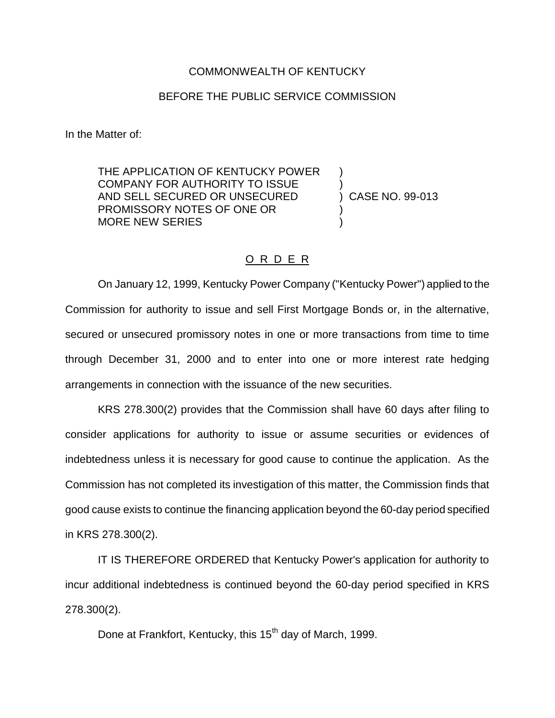## COMMONWEALTH OF KENTUCKY

## BEFORE THE PUBLIC SERVICE COMMISSION

In the Matter of:

THE APPLICATION OF KENTUCKY POWER COMPANY FOR AUTHORITY TO ISSUE ) AND SELL SECURED OR UNSECURED (2008) CASE NO. 99-013 PROMISSORY NOTES OF ONE OR ) MORE NEW SERIES

## O R D E R

On January 12, 1999, Kentucky Power Company ("Kentucky Power") applied to the Commission for authority to issue and sell First Mortgage Bonds or, in the alternative, secured or unsecured promissory notes in one or more transactions from time to time through December 31, 2000 and to enter into one or more interest rate hedging arrangements in connection with the issuance of the new securities.

KRS 278.300(2) provides that the Commission shall have 60 days after filing to consider applications for authority to issue or assume securities or evidences of indebtedness unless it is necessary for good cause to continue the application. As the Commission has not completed its investigation of this matter, the Commission finds that good cause exists to continue the financing application beyond the 60-day period specified in KRS 278.300(2).

IT IS THEREFORE ORDERED that Kentucky Power's application for authority to incur additional indebtedness is continued beyond the 60-day period specified in KRS 278.300(2).

Done at Frankfort, Kentucky, this 15<sup>th</sup> day of March, 1999.